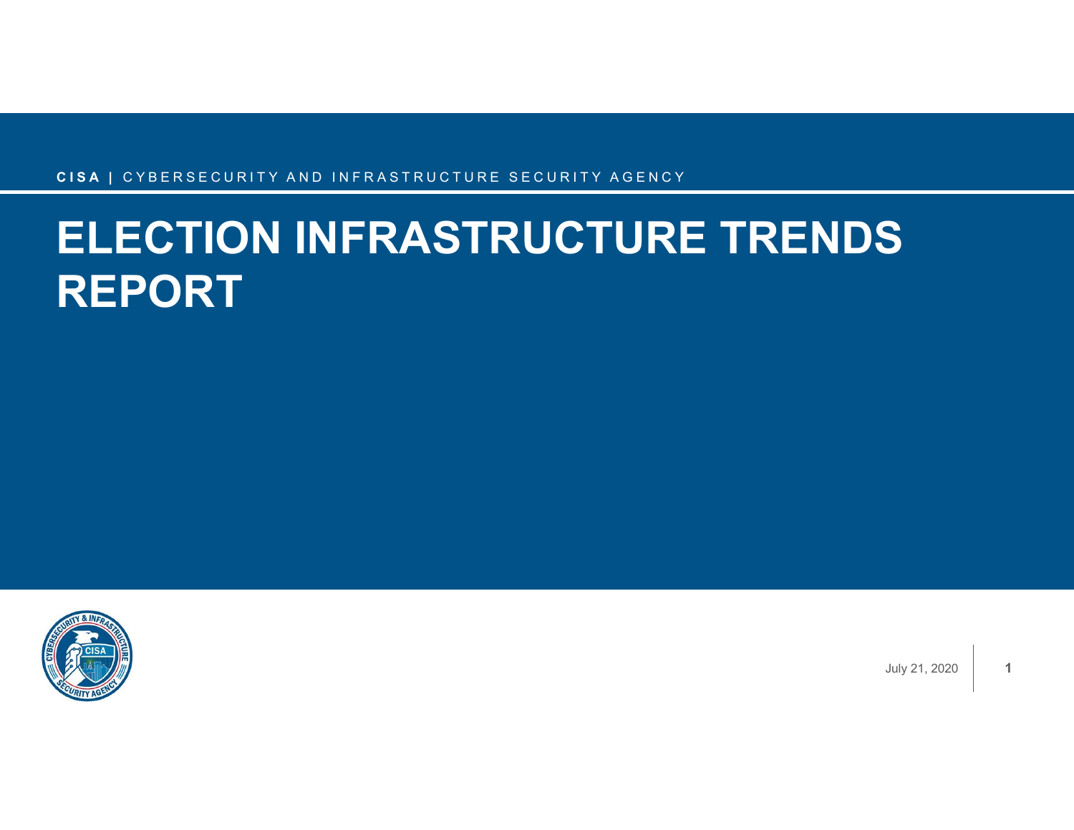## <sub>CISA I CYBERSECURITY AND INFRASTRUCTURE SECURITY AGENCY</sub><br>ELECTION INFRASTRUCTURE TRENDS ELECTION INFRASTRUCTURE TRENDS REPORT



July 21, 2020

1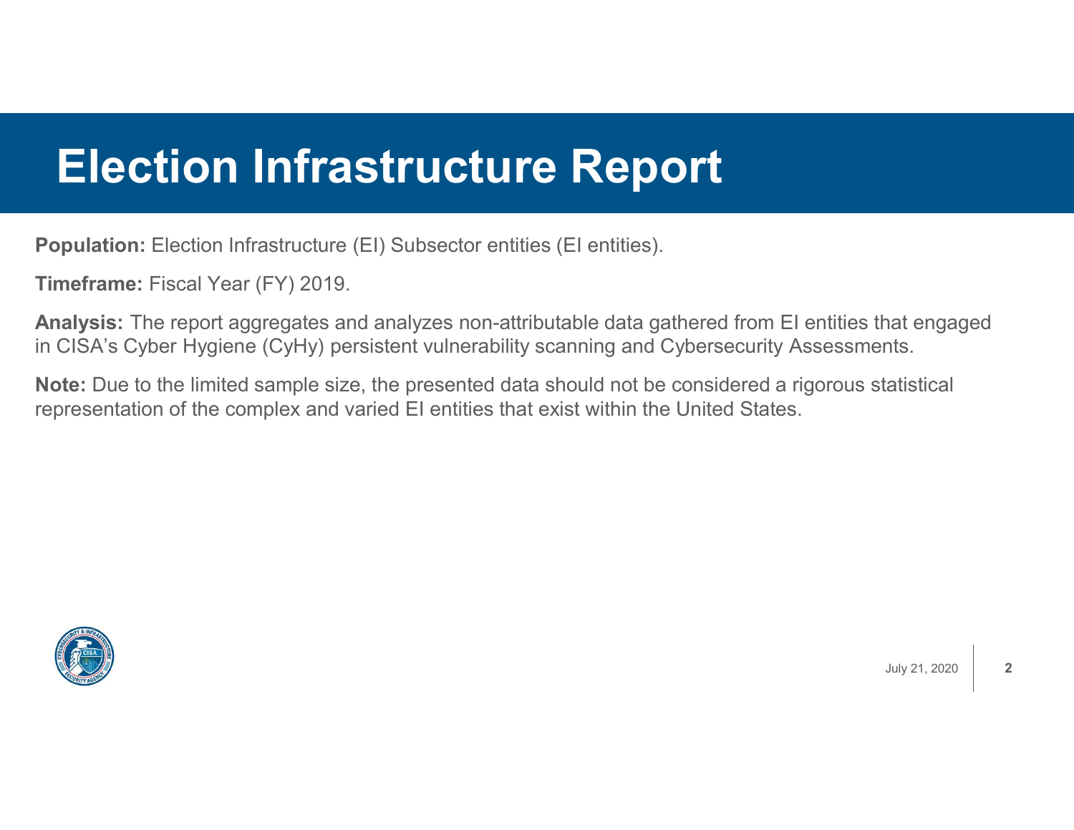#### Election Infrastructure Report

Population: Election Infrastructure (EI) Subsector entities (EI entities).

Timeframe: Fiscal Year (FY) 2019.

Analysis: The report aggregates and analyzes non-attributable data gathered from EI entities that engaged in CISA's Cyber Hygiene (CyHy) persistent vulnerability scanning and Cybersecurity Assessments.

Note: Due to the limited sample size, the presented data should not be considered a rigorous statistical representation of the complex and varied EI entities that exist within the United States.

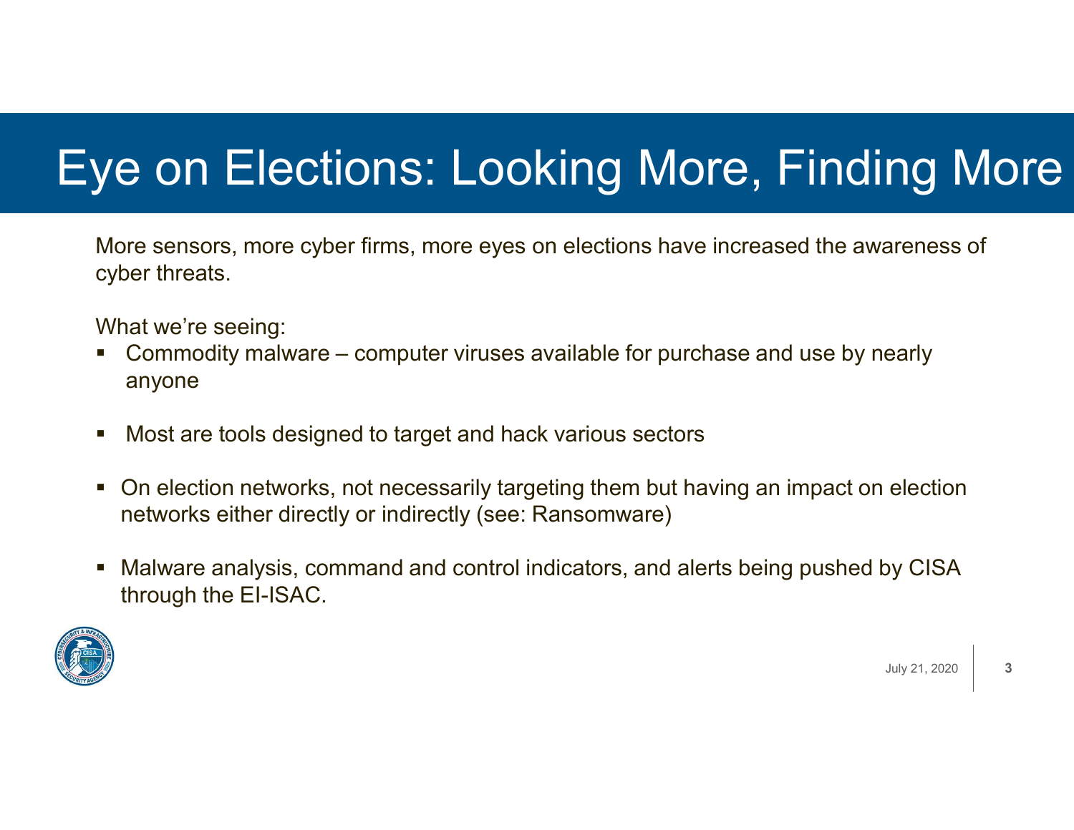# Eye on Elections: Looking More, Finding More Ve on Elections: Looking More, Finding More<br>
More sensors, more cyber firms, more eyes on elections have increased the awareness of<br>
cyber threats.<br>
- Commodity malware – computer viruses available for purchase and use by

More sensors, more cyber firms, more eyes on elections have increased the awareness of cyber threats.

What we're seeing:

- anyone
- Most are tools designed to target and hack various sectors
- **-** On election networks, not necessarily targeting them but having an impact on election networks either directly or indirectly (see: Ransomware)
- Malware analysis, command and control indicators, and alerts being pushed by CISA through the EI-ISAC.



July 21, 2020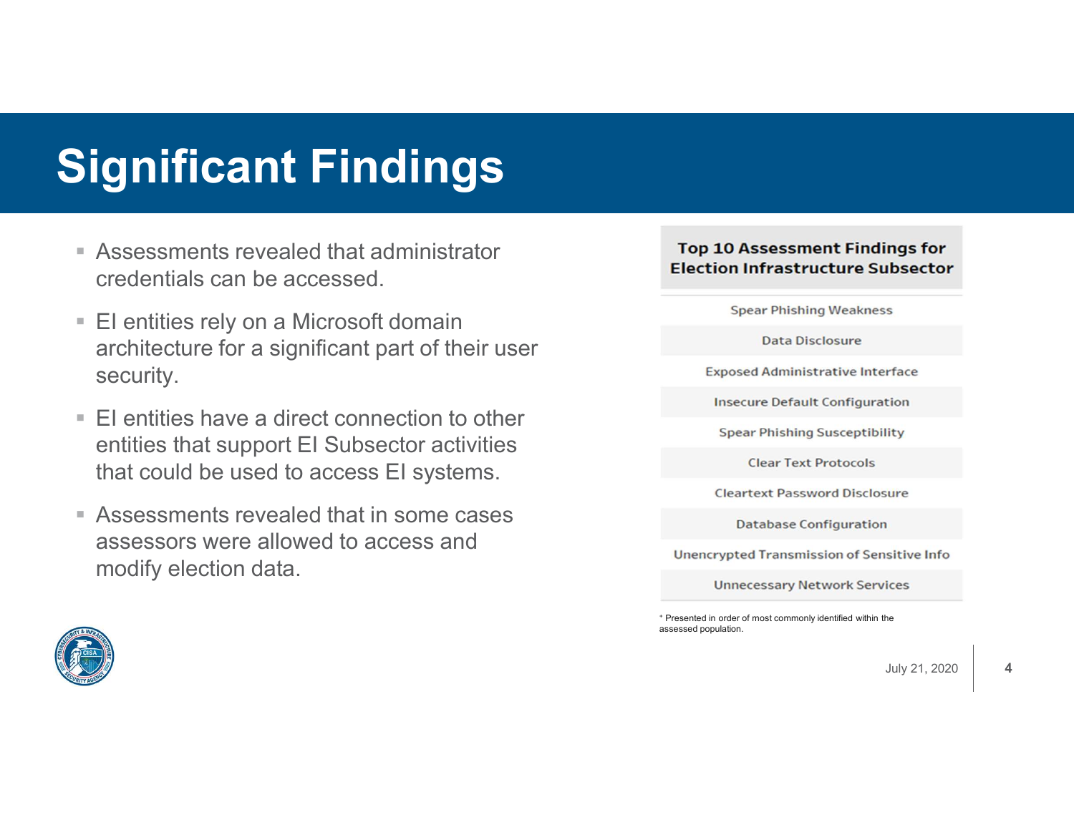## Significant Findings

- Assessments revealed that administrator credentials can be accessed.
- **EI entities rely on a Microsoft domain** architecture for a significant part of their user security.
- $\blacksquare$  EI entities have a direct connection to other entities that support EI Subsector activities that could be used to access EI systems.
- Assessments revealed that in some cases assessors were allowed to access and modify election data.

#### **Top 10 Assessment Findings for Election Infrastructure Subsector**

**Spear Phishing Weakness** 

**Data Disclosure** 

**Exposed Administrative Interface** 

**Insecure Default Configuration** 

**Spear Phishing Susceptibility** 

**Clear Text Protocols** 

**Cleartext Password Disclosure** 

**Database Configuration** 

**Unencrypted Transmission of Sensitive Info** 

**Unnecessary Network Services** 

<sup>+</sup> Presented in order of most commonly identified within the assessed population.



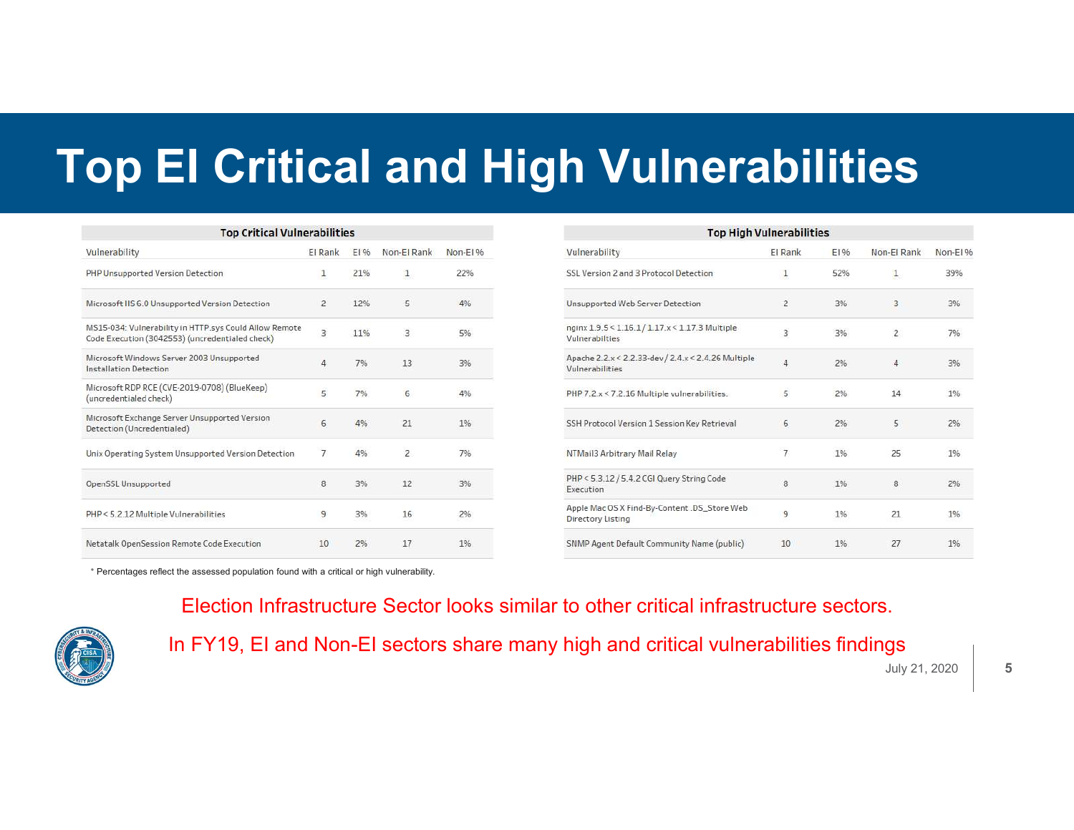## Top EI Critical and High Vulnerabilities

| <b>Top Critical Vulnerabilities</b>                                                                       |                         |      |                |           |
|-----------------------------------------------------------------------------------------------------------|-------------------------|------|----------------|-----------|
| Vulnerability                                                                                             | <b>El Rank</b>          | E196 | Non-El Rank    | Non-El %  |
| PHP Unsupported Version Detection                                                                         | 1                       | 21%  | $\mathbf{1}$   | 22%       |
| Microsoft IIS 6.0 Unsupported Version Detection                                                           | $\overline{2}$          | 12%  | 5              | 4%        |
| MS15-034: Vulnerability in HTTP.sys Could Allow Remote<br>Code Execution (3042553) (uncredentialed check) | $\overline{\mathbf{3}}$ | 11%  | 3              | 5%        |
| Microsoft Windows Server 2003 Unsupported<br>Installation Detection                                       | 4                       | 7%   | 13             | 3%        |
| Microsoft RDP RCE (CVE-2019-0708) (BlueKeep)<br>(uncredentialed check)                                    | 5                       | 7%   | 6              | 4%        |
| Microsoft Exchange Server Unsupported Version<br>Detection (Uncredentialed)                               | 6                       | 4%   | 21             | 1%        |
| Unix Operating System Unsupported Version Detection                                                       | $\overline{7}$          | 4%   | $\overline{2}$ | 7%        |
| OpenSSL Unsupported                                                                                       | 8                       | 3%   | 12             | 3%        |
| PHP < 5.2.12 Multiple Vulnerabilities                                                                     | 9                       | 3%   | 16             | 2%        |
| Netatalk OpenSession Remote Code Execution                                                                | 10                      | 2%   | 17             | <b>1%</b> |

| <b>Top High Vulnerabilities</b>                                        |                |      |                |          |
|------------------------------------------------------------------------|----------------|------|----------------|----------|
| Vulnerability                                                          | <b>El Rank</b> | E196 | Non-El Rank    | Non-El % |
| SSL Version 2 and 3 Protocol Detection                                 | 1              | 52%  | $\mathbf{1}$   | 39%      |
| Unsupported Web Server Detection                                       | $\overline{2}$ | 3%   | 3              | 3%       |
| nginx 1.9.5<1.16.1/1.17.x<1.17.3 Multiple<br>Vulnerabilties            | 3              | 3%   | $\overline{c}$ | 7%       |
| Apache 2.2.x < 2.2.33-dev / 2.4.x < 2.4.26 Multiple<br>Vulnerabilities | 4              | 2%   | 4              | 3%       |
| PHP 7.2.x < 7.2.16 Multiple vulnerabilities.                           | 5              | 2%   | 14             | 1%       |
| SSH Protocol Version 1 Session Key Retrieval                           | 6              | 2%   | 5              | 2%       |
| NTMail3 Arbitrary Mail Relay                                           | $\overline{7}$ | 1%   | 25             | 1%       |
| PHP < 5.3.12 / 5.4.2 CGI Query String Code<br>Execution                | 8              | 1%   | 8              | 2%       |
| Apple Mac OS X Find-By-Content .DS_Store Web<br>Directory Listing      | 9              | 1%   | 21             | 1%       |
| SNMP Agent Default Community Name (public)                             | 10             | 1%   | 27             | 1%       |

<sup>+</sup> Percentages reflect the assessed population found with a critical or high vulnerability.



Election Infrastructure Sector looks similar to other critical infrastructure sectors.

In FY19, EI and Non-EI sectors share many high and critical vulnerabilities findings

July 21, 2020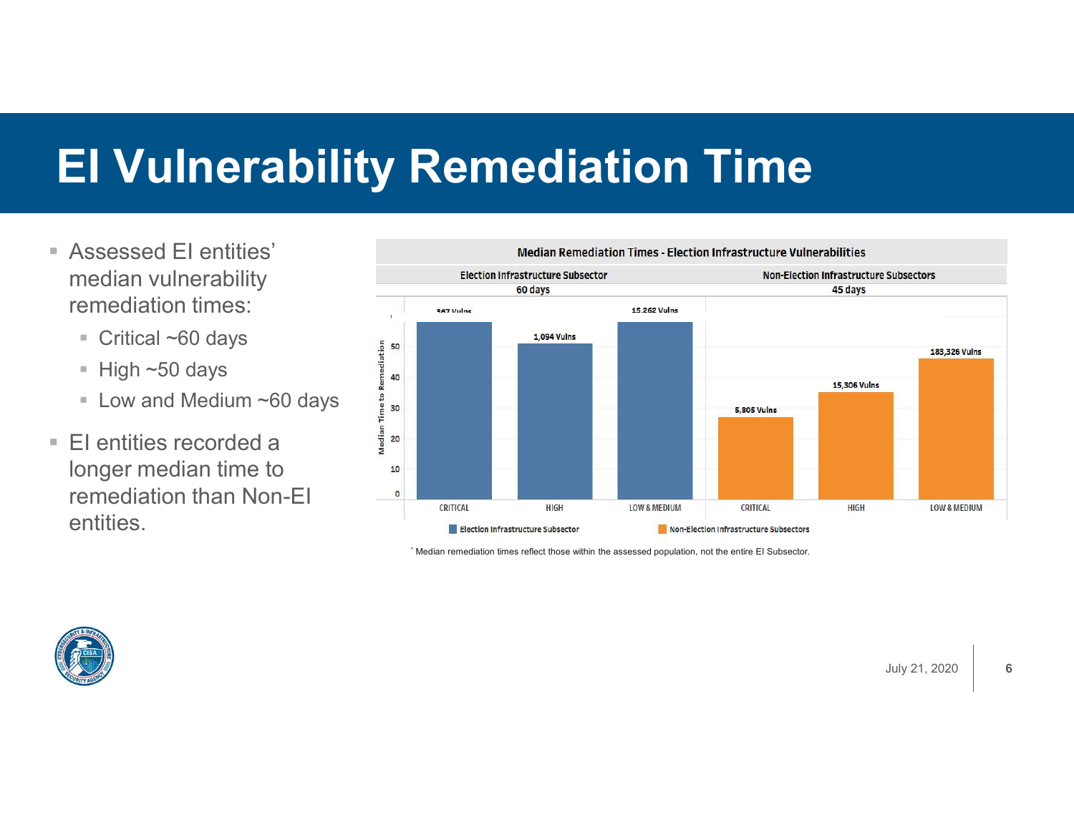## EI Vulnerability Remediation Time

- Assessed EI entities' median vulnerability remediation times:
	-
	- $\blacksquare$  High ~50 days
	- Critical ~60 days<br>
	 High ~50 days<br>
	 Low and Medium ~60 days<br>
	El entities recorded a **Low and Medium ~60 days**
- EI entities recorded a longer median time to remediation than Non-EI entities.



\* Median remediation times reflect those within the assessed population, not the entire EI Subsector.

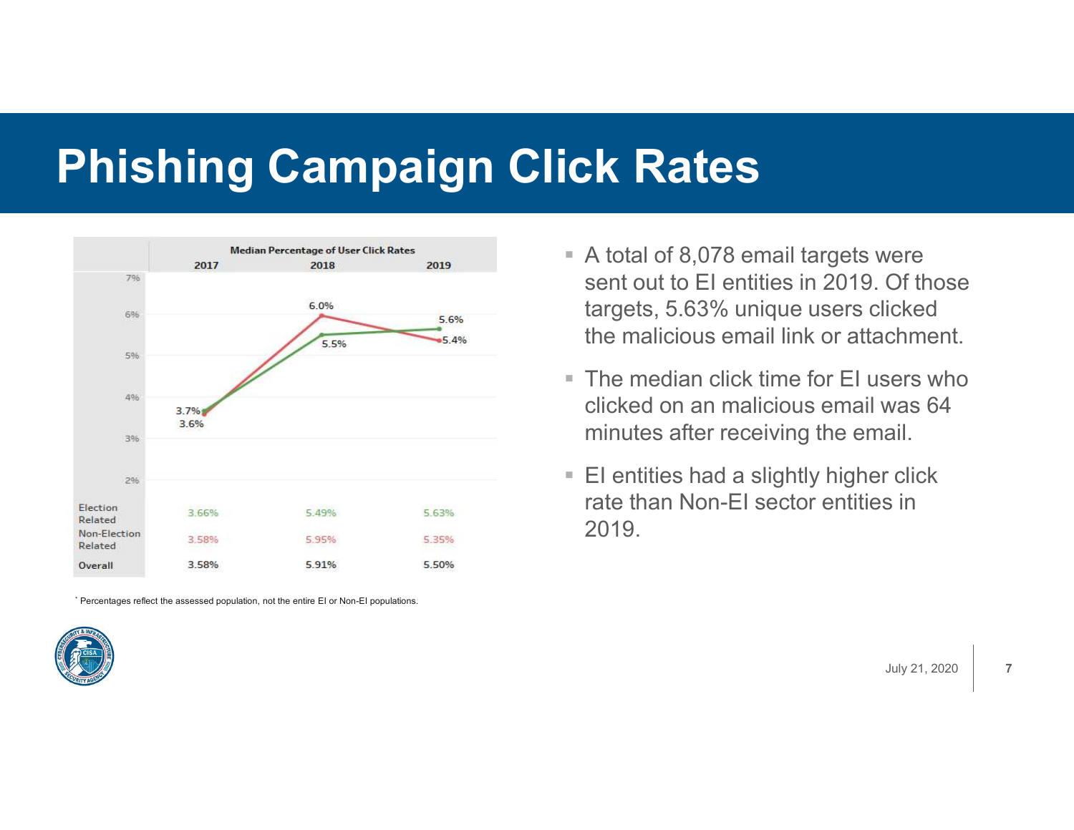#### Phishing Campaign Click Rates



\* Percentages reflect the assessed population, not the entire EI or Non-EI populations.



- A total of 8,078 email targets were sent out to EI entities in 2019. Of those targets, 5.63% unique users clicked the malicious email link or attachment.
- **The median click time for EL users who** clicked on an malicious email was 64 minutes after receiving the email.
- EI entities had a slightly higher click rate than Non-EI sector entities in 2019.

July 21, 2020 | 7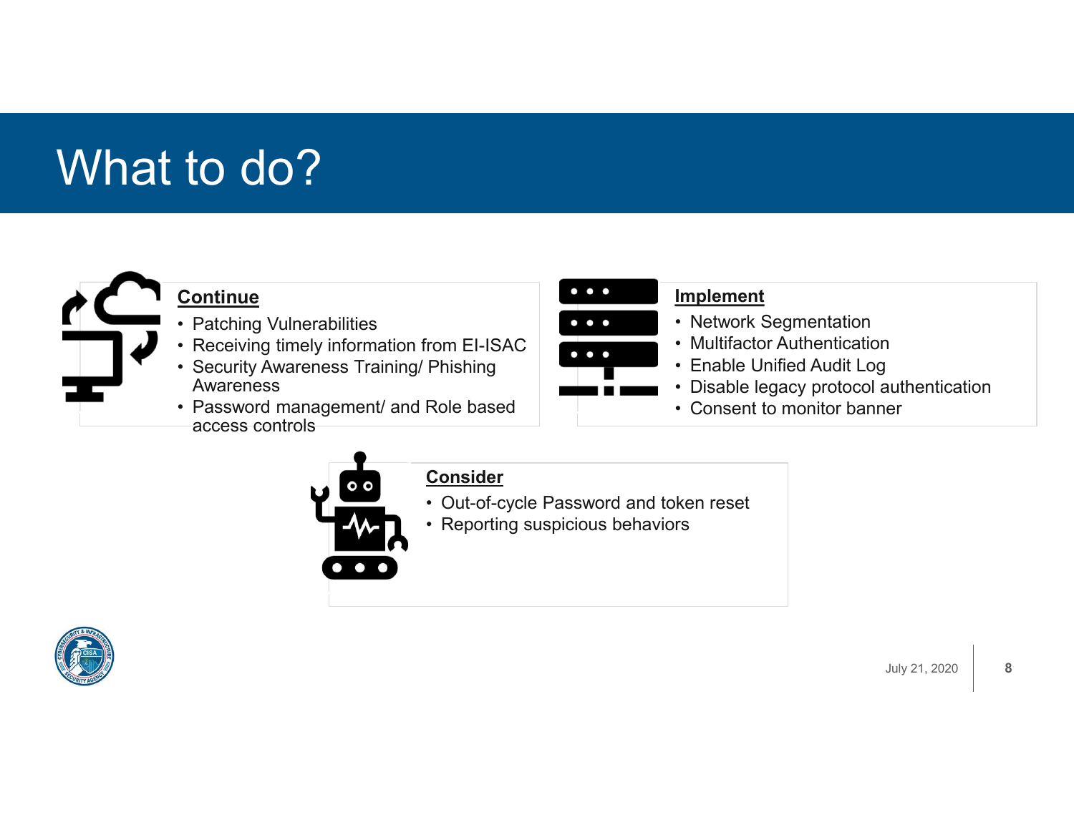## What to do?



#### **Continue**

- 
- 
- to do?<br>
Continue<br>
 Patching Vulnerabilities<br>
 Receiving timely information from EI-ISAC<br>
 Security Awareness Training/ Phishing<br>
 Password management/ and Role based **Awareness**
- Continue<br>
 Patching Vulnerabilities<br>
 Receiving timely information from EI-ISAC<br>
 Security Awareness Training/ Phishing<br>
 Security Awareness<br>
 Receiving management/ and Role based<br>
 Consent to monito<br>
 Consent to mo to do?<br>
Continue<br>
• Patching Vulnerabilities<br>
• Receiving timely information from EI-ISAC<br>
• Security Awareness Training/ Phishing<br>
• Awareness<br>
• Password management/ and Role based<br>
• access controls ering Vulnerabilities<br>
• Patching Vulnerabilities<br>
• Receiving timely information from EI-ISAC<br>
• Security Awareness Training/ Phishing<br>
• Password management/ and Role based<br>
– access controls<br>
– Consider access controls



#### Implement

- 
- 
- 
- **Implement**<br>• Network Segmentation<br>• Multifactor Authentication<br>• Enable Unified Audit Log<br>• Disable legacy protocol authentication<br>• Consent to monitor banner Implement<br>• Network Segmentation<br>• Multifactor Authentication<br>• Enable Unified Audit Log<br>• Disable legacy protocol authentication<br>• Consent to monitor banner Implement<br>• Network Segmentation<br>• Multifactor Authentication<br>• Enable Unified Audit Log<br>• Disable legacy protocol authentication<br>• Consent to monitor banner Implement<br>• Network Segmentation<br>• Multifactor Authentication<br>• Enable Unified Audit Log<br>• Disable legacy protocol authentication<br>• Consent to monitor banner Implement<br>• Network Segmentation<br>• Multifactor Authentication<br>• Enable Unified Audit Log<br>• Disable legacy protocol authentication<br>• Consent to monitor banner
- 



#### **Consider**

- 
- 

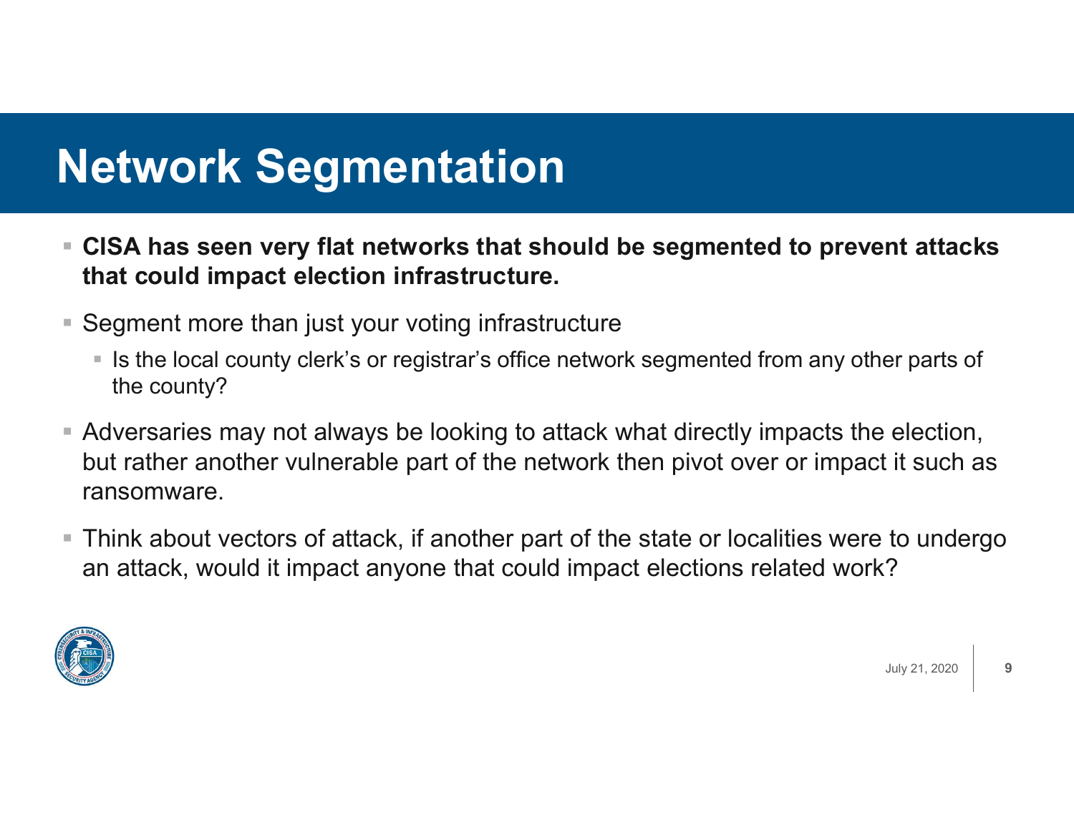#### Network Segmentation

- CISA has seen very flat networks that should be segmented to prevent attacks that could impact election infrastructure.
- **Segment more than just your voting infrastructure** 
	- Is the local county clerk's or registrar's office network segmented from any other parts of the county?
- Adversaries may not always be looking to attack what directly impacts the election, but rather another vulnerable part of the network then pivot over or impact it such as ransomware.
- Think about vectors of attack, if another part of the state or localities were to undergo an attack, would it impact anyone that could impact elections related work?

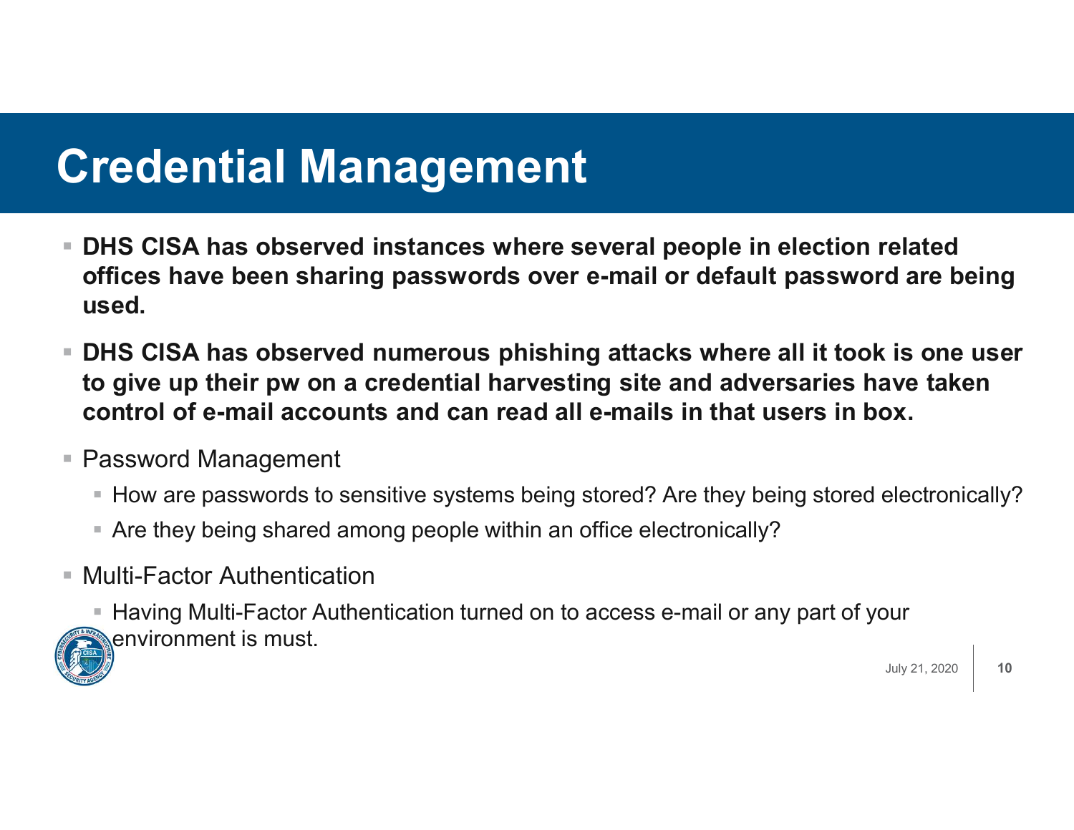#### Credential Management

- DHS CISA has observed instances where several people in election related offices have been sharing passwords over e-mail or default password are being used.
- DHS CISA has observed numerous phishing attacks where all it took is one user to give up their pw on a credential harvesting site and adversaries have taken control of e-mail accounts and can read all e-mails in that users in box.
- Password Management
	- How are passwords to sensitive systems being stored? Are they being stored electronically?
	- Are they being shared among people within an office electronically?
- Multi-Factor Authentication

■ Having Multi-Factor Authentication turned on to access e-mail or any part of your environment is must.



July 21, 2020

10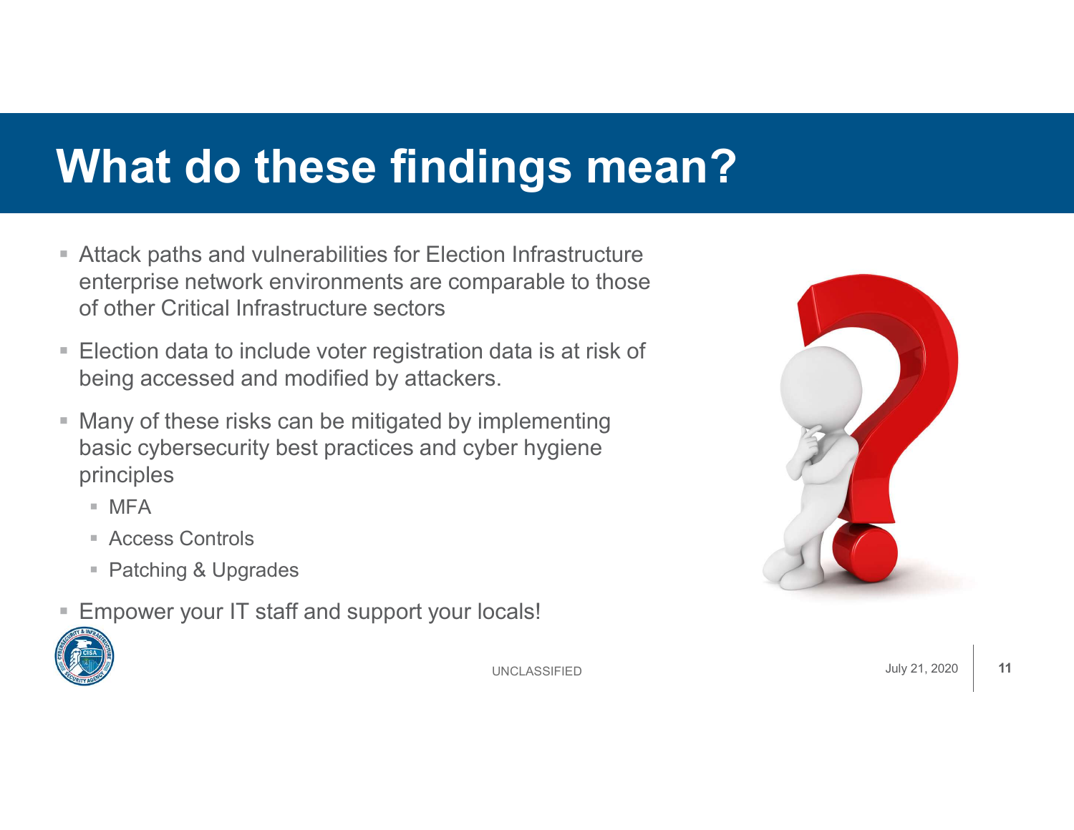## What do these findings mean?

- Attack paths and vulnerabilities for Election Infrastructure enterprise network environments are comparable to those of other Critical Infrastructure sectors
- Election data to include voter registration data is at risk of being accessed and modified by attackers.
- Many of these risks can be mitigated by implementing basic cybersecurity best practices and cyber hygiene principles
	- $MFA$
	- Access Controls
	- Patching & Upgrades
- Empower your IT staff and support your locals!





**UNCLASSIFIED**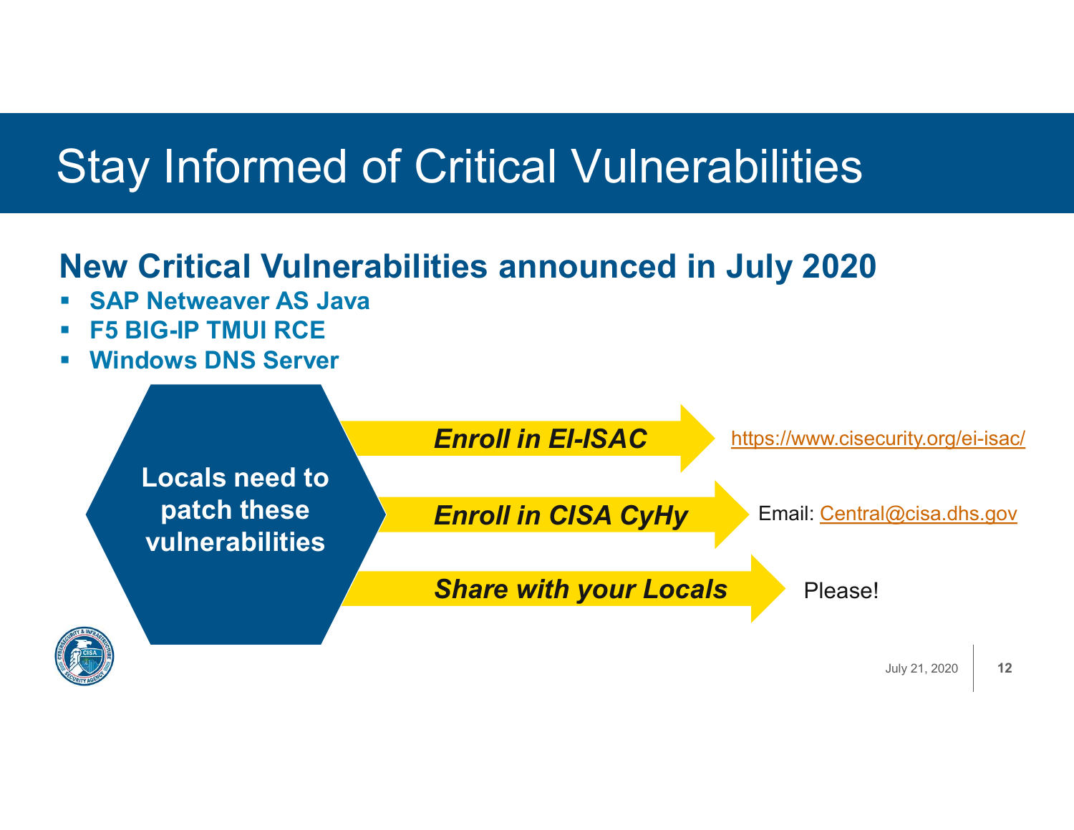# Stay Informed of Critical Vulnerabilities Stay Informed of Critical Vulnera<br>New Critical Vulnerabilities announced in<br>• SAP Netweaver AS Java<br>• F5 BIG-IP TMUI RCE<br>• Windows DNS Server

#### New Critical Vulnerabilities announced in July 2020

- 
- F5 BIG-IP TMUI RCE
- Windows DNS Server

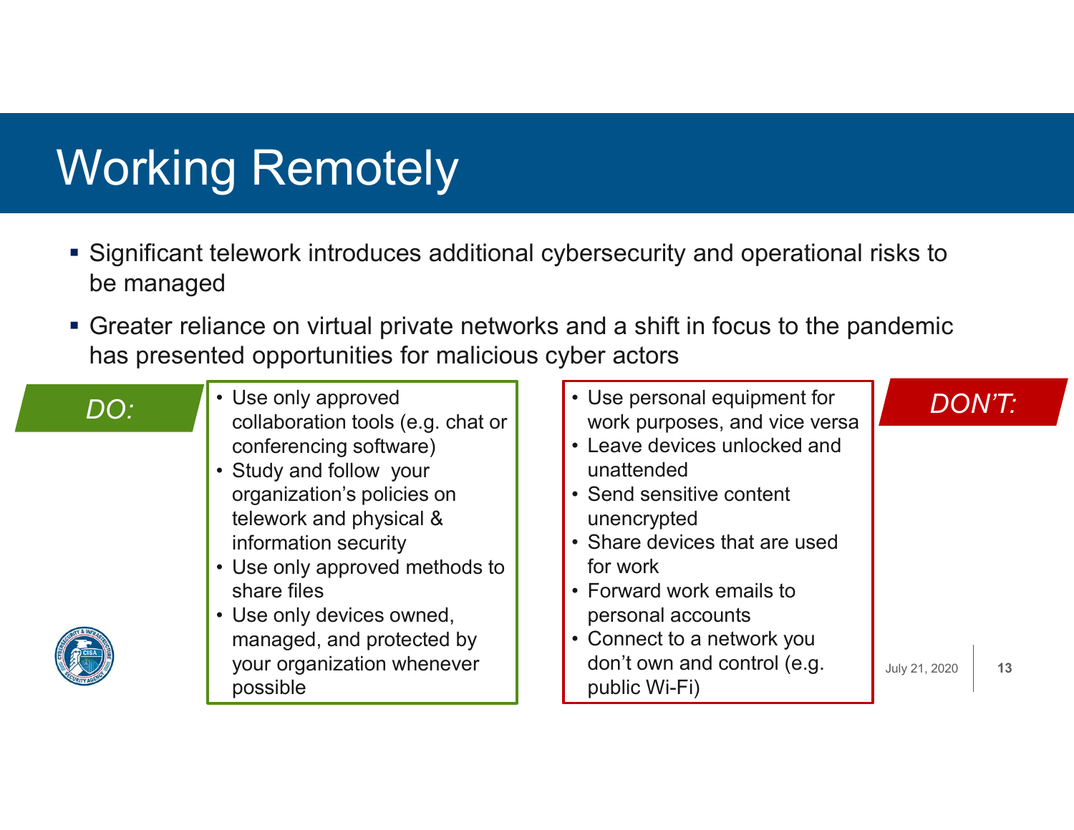## Working Remotely

- Significant telework introduces additional cybersecurity and operational risks to be managed g Remotely<br>
elework introduces additional cybersecurity<br>
d<br>
ance on virtual private networks and a shift<br>
red opportunities for malicious cyber actors<br>
• Use only approved<br>
• Study and follow your<br>
• Study and follow your<br>
- Greater reliance on virtual private networks and a shift in focus to the pandemic has presented opportunities for malicious cyber actors

- collaboration tools (e.g. chat or conferencing software)
- organization's policies on telework and physical & information security
- share files
- managed, and protected by your organization whenever possible

| be managed                  | Vorking Remotely                                                                                                                                                                                                                                                                                                                                    | Significant telework introduces additional cybersecurity and operational risks to                                                                                                                                                                                                                                                  |                                      |
|-----------------------------|-----------------------------------------------------------------------------------------------------------------------------------------------------------------------------------------------------------------------------------------------------------------------------------------------------------------------------------------------------|------------------------------------------------------------------------------------------------------------------------------------------------------------------------------------------------------------------------------------------------------------------------------------------------------------------------------------|--------------------------------------|
|                             | has presented opportunities for malicious cyber actors                                                                                                                                                                                                                                                                                              | Greater reliance on virtual private networks and a shift in focus to the pandemic                                                                                                                                                                                                                                                  |                                      |
| $\overline{\mathsf{DO} }$ . | • Use only approved<br>collaboration tools (e.g. chat or<br>conferencing software)<br>• Study and follow your<br>organization's policies on<br>telework and physical &<br>information security<br>• Use only approved methods to<br>share files<br>• Use only devices owned,<br>managed, and protected by<br>your organization whenever<br>possible | • Use personal equipment for<br>work purposes, and vice versa<br>• Leave devices unlocked and<br>unattended<br>• Send sensitive content<br>unencrypted<br>• Share devices that are used<br>for work<br>• Forward work emails to<br>personal accounts<br>• Connect to a network you<br>don't own and control (e.g.<br>public Wi-Fi) | <b>DON'T:</b><br>July 21, 2020<br>13 |

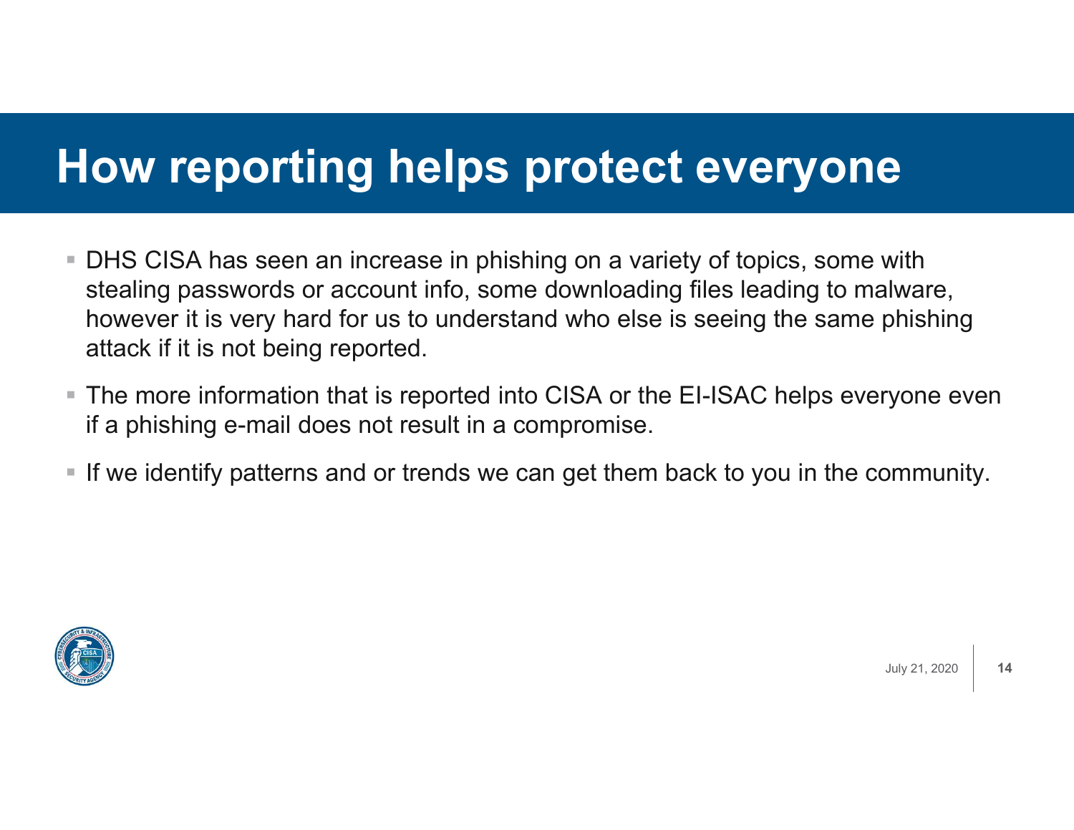#### How reporting helps protect everyone

- **DHS CISA has seen an increase in phishing on a variety of topics, some with** stealing passwords or account info, some downloading files leading to malware, however it is very hard for us to understand who else is seeing the same phishing attack if it is not being reported.
- The more information that is reported into CISA or the EI-ISAC helps everyone even if a phishing e-mail does not result in a compromise.
- If we identify patterns and or trends we can get them back to you in the community.



14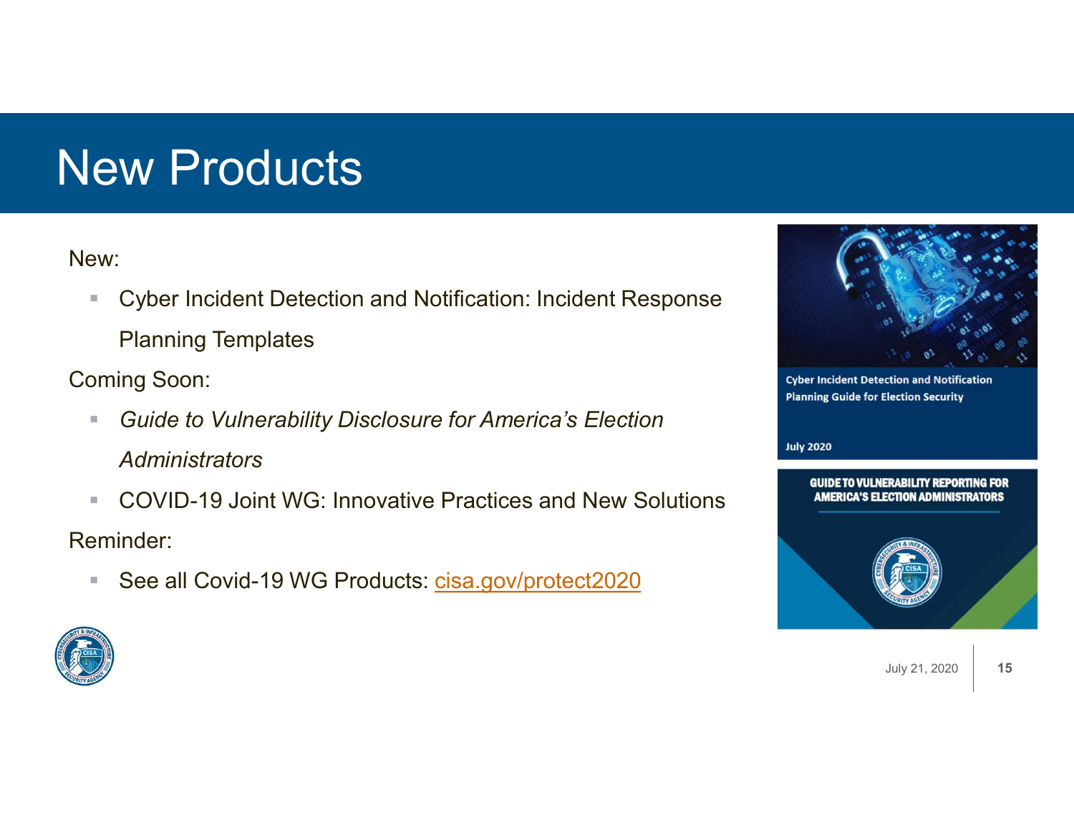## New Products

New:

**E** Cyber Incident Detection and Notification: Incident Response Planning Templates

Coming Soon:

- **Guide to Vulnerability Disclosure for America's Election Administrators**
- COVID-19 Joint WG: Innovative Practices and New Solutions **AMERICA'S ELECTION ADMINISTRATORS** Reminder:
	- See all Covid-19 WG Products: cisa.gov/protect2020



**Cyber Incident Detection and Notification Planning Guide for Election Security** 

#### **July 2020**





July 21, 2020 | 15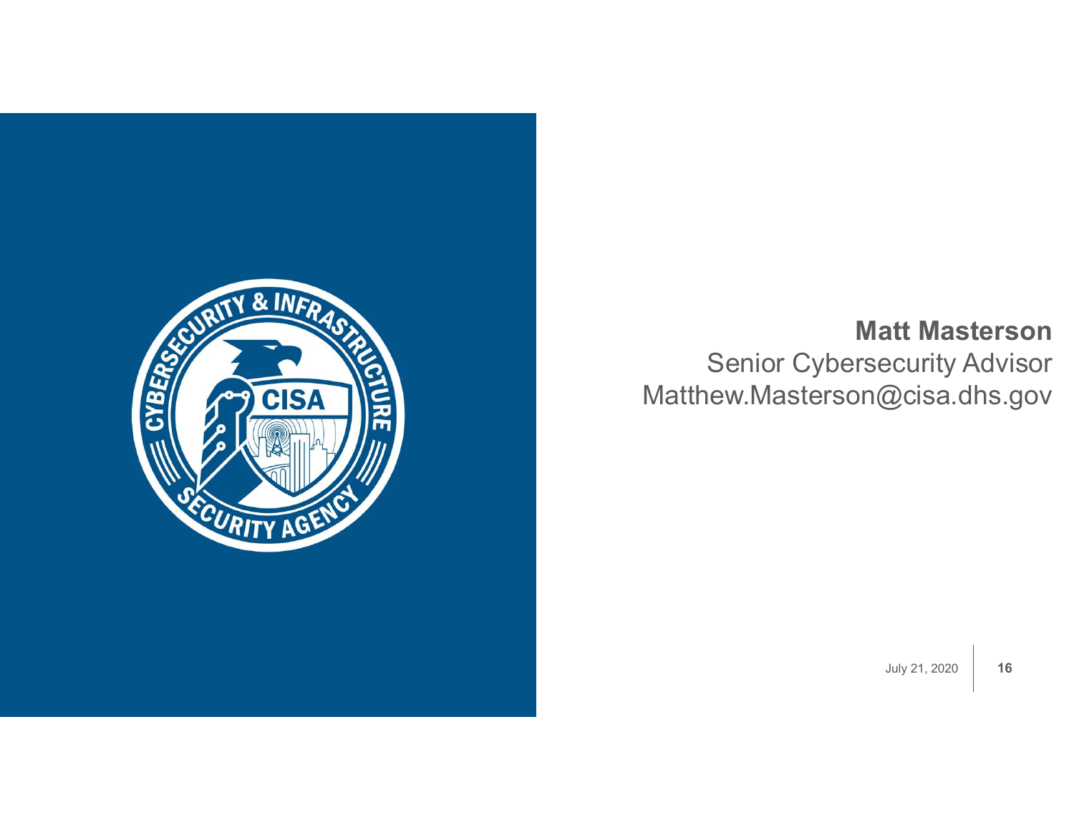

#### Matt Masterson

Senior Cybersecurity Advisor Matthew.Masterson@cisa.dhs.gov

July 21, 2020  $\vert$  16